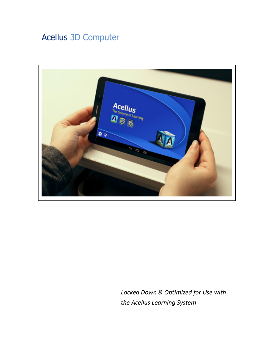# Acellus 3D Computer



*Locked Down & Optimized for Use with the Acellus Learning System*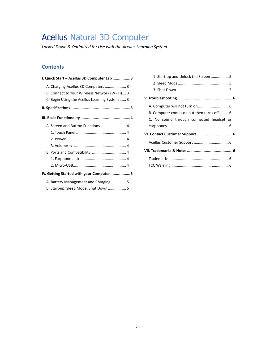# Acellus Natural 3D Computer

*Locked Down & Optimized for Use with the Acellus Learning System* 

## **Contents**

| I. Quick Start - Acellus 3D Computer Lab 3     |
|------------------------------------------------|
| A. Charging Acellus 3D Computers  3            |
| B. Connect to Your Wireless Network (Wi-Fi)  3 |
| C. Begin Using the Acellus Learning System  3  |
|                                                |
|                                                |
|                                                |
|                                                |
|                                                |
|                                                |
|                                                |
|                                                |
|                                                |
| IV. Getting Started with your Computer5        |
| A. Battery Management and Charging  5          |
| B. Start-up, Sleep Mode, Shut Down 5           |

| 1. Start-up and Unlock the Screen 5      |  |
|------------------------------------------|--|
|                                          |  |
|                                          |  |
|                                          |  |
|                                          |  |
| B. Computer comes on but then turns off6 |  |
| C. No sound through connected headset or |  |
|                                          |  |
|                                          |  |
|                                          |  |
|                                          |  |
|                                          |  |
|                                          |  |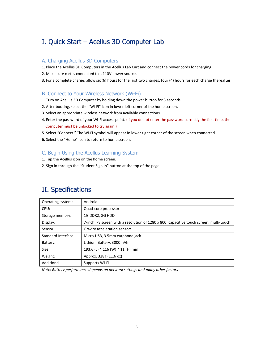# I. Quick Start – Acellus 3D Computer Lab

### A. Charging Acellus 3D Computers

1. Place the Acellus 3D Computers in the Acellus Lab Cart and connect the power cords for charging.

- 2. Make sure cart is connected to a 110V power source.
- 3. For a complete charge, allow six (6) hours for the first two charges, four (4) hours for each charge thereafter.

### B. Connect to Your Wireless Network (Wi-Fi)

- 1. Turn on Acellus 3D Computer by holding down the power button for 3 seconds.
- 2. After booting, select the "Wi-Fi" icon in lower left corner of the home screen.
- 3. Select an appropriate wireless network from available connections.
- 4. Enter the password of your Wi-Fi access point. (If you do not enter the password correctly the first time, the Computer must be unlocked to try again.)
- 5. Select "Connect." The Wi-Fi symbol will appear in lower right corner of the screen when connected.
- 6. Select the "Home" icon to return to home screen.

## C. Begin Using the Acellus Learning System

- 1. Tap the Acellus icon on the home screen.
- 2. Sign in through the "Student Sign In" button at the top of the page.

# II. Specifications

| Operating system:   | Android                                                                                 |
|---------------------|-----------------------------------------------------------------------------------------|
| CPU:                | Quad-core processor                                                                     |
| Storage memory:     | 1G DDR2, 8G HDD                                                                         |
| Display:            | 7-inch IPS screen with a resolution of 1280 x 800, capacitive touch screen, multi-touch |
| Sensor:             | Gravity acceleration sensors                                                            |
| Standard Interface: | Micro-USB, 3.5mm earphone jack                                                          |
| Battery:            | Lithium Battery, 3000mAh                                                                |
| Size:               | 193.6 (L) * 116 (W) * 11 (H) mm                                                         |
| Weight:             | Approx. 328g (11.6 oz)                                                                  |
| Additional:         | Supports Wi-Fi                                                                          |

*Note: Battery performance depends on network settings and many other factors*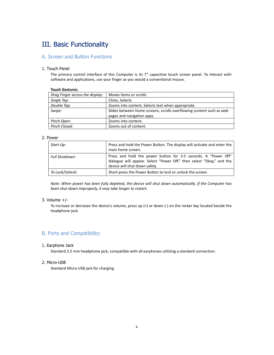# III. Basic Functionality

### A. Screen and Button Functions

### 1. Touch Panel

The primary control interface of this Computer is its 7" capacitive touch screen panel. To interact with software and applications, use your finger as you would a conventional mouse.

#### **Touch Gestures:**

| Moves items or scrolls                                               |
|----------------------------------------------------------------------|
| Clicks, Selects                                                      |
| Zooms into content, Selects text when appropriate                    |
| Slides between home screens, scrolls overflowing content such as web |
| pages and navigation apps.                                           |
| Zooms into content.                                                  |
| Zooms out of content.                                                |
|                                                                      |

### 2. Power

| Start-Up:       | Press and hold the Power Button. The display will activate and enter the<br>main home screen.                                                                            |
|-----------------|--------------------------------------------------------------------------------------------------------------------------------------------------------------------------|
| Full Shutdown:  | Press and hold the power button for 3-5 seconds. A "Power Off"<br>dialogue will appear. Select "Power Off," then select "Okay," and the<br>device will shut down safely. |
| To Lock/Unlock: | Short-press the Power Button to lock or unlock the screen.                                                                                                               |

*Note: When power has been fully depleted, the device will shut down automatically. If the Computer has been shut down improperly, it may take longer to restart.* 

#### 3. Volume +/-

To increase or decrease the device's volume, press up (+) or down (-) on the rocker key located beside the headphone jack.

### B. Ports and Compatibility:

#### 1. Earphone Jack

Standard 3.5 mm headphone jack, compatible with all earphones utilizing a standard connection.

#### 2. Micro-USB

Standard Micro USB jack for charging.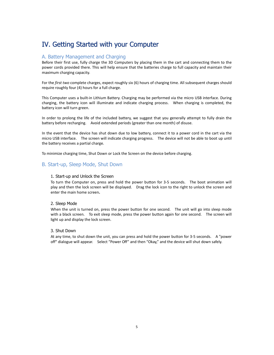# IV. Getting Started with your Computer

### A. Battery Management and Charging

Before their first use, fully charge the 3D Computers by placing them in the cart and connecting them to the power cords provided there. This will help ensure that the batteries charge to full capacity and maintain their maximum charging capacity.

For the *first two* complete charges, expect roughly six (6) hours of charging time. All subsequent charges should require roughly four (4) hours for a full charge.

This Computer uses a built-in Lithium Battery. Charging may be performed via the micro USB interface. During charging, the battery icon will illuminate and indicate charging process. When charging is completed, the battery icon will turn green.

In order to prolong the life of the included battery, we suggest that you generally attempt to fully drain the battery before recharging. Avoid extended periods (greater than one month) of disuse.

In the event that the device has shut down due to low battery, connect it to a power cord in the cart via the micro USB interface. The screen will indicate charging progress. The device will not be able to boot up until the battery receives a partial charge.

To minimize charging time, Shut Down or Lock the Screen on the device before charging.

### B. Start-up, Sleep Mode, Shut Down

#### 1. Start-up and Unlock the Screen

To turn the Computer on, press and hold the power button for 3-5 seconds. The boot animation will play and then the lock screen will be displayed. Drag the lock icon to the right to unlock the screen and enter the main home screen**.**

#### 2. Sleep Mode

When the unit is turned on, press the power button for one second. The unit will go into sleep mode with a black screen. To exit sleep mode, press the power button again for one second. The screen will light up and display the lock screen.

#### 3. Shut Down

At any time, to shut down the unit, you can press and hold the power button for 3-5 seconds. A "power off" dialogue will appear. Select "Power Off" and then "Okay," and the device will shut down safely.